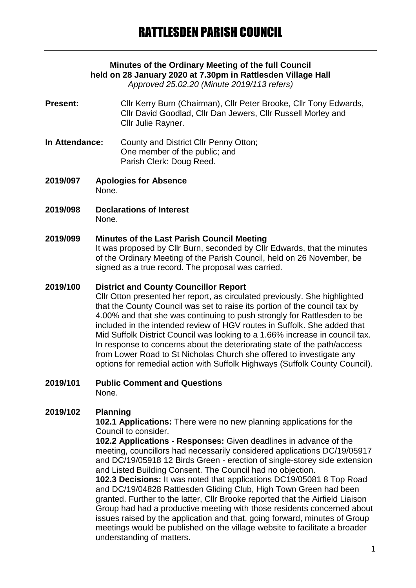# **Minutes of the Ordinary Meeting of the full Council held on 28 January 2020 at 7.30pm in Rattlesden Village Hall**

*Approved 25.02.20 (Minute 2019/113 refers)*

- **Present:** Cllr Kerry Burn (Chairman), Cllr Peter Brooke, Cllr Tony Edwards, Cllr David Goodlad, Cllr Dan Jewers, Cllr Russell Morley and Cllr Julie Rayner.
- **In Attendance:** County and District Cllr Penny Otton; One member of the public; and Parish Clerk: Doug Reed.
- **2019/097 Apologies for Absence** None.
- **2019/098 Declarations of Interest** None.

### **2019/099 Minutes of the Last Parish Council Meeting**

It was proposed by Cllr Burn, seconded by Cllr Edwards, that the minutes of the Ordinary Meeting of the Parish Council, held on 26 November, be signed as a true record. The proposal was carried.

#### **2019/100 District and County Councillor Report**

Cllr Otton presented her report, as circulated previously. She highlighted that the County Council was set to raise its portion of the council tax by 4.00% and that she was continuing to push strongly for Rattlesden to be included in the intended review of HGV routes in Suffolk. She added that Mid Suffolk District Council was looking to a 1.66% increase in council tax. In response to concerns about the deteriorating state of the path/access from Lower Road to St Nicholas Church she offered to investigate any options for remedial action with Suffolk Highways (Suffolk County Council).

#### **2019/101 Public Comment and Questions** None.

## **2019/102 Planning**

**102.1 Applications:** There were no new planning applications for the Council to consider.

**102.2 Applications - Responses:** Given deadlines in advance of the meeting, councillors had necessarily considered applications DC/19/05917 and DC/19/05918 12 Birds Green - erection of single-storey side extension and Listed Building Consent. The Council had no objection.

**102.3 Decisions:** It was noted that applications DC19/05081 8 Top Road and DC/19/04828 Rattlesden Gliding Club, High Town Green had been granted. Further to the latter, Cllr Brooke reported that the Airfield Liaison Group had had a productive meeting with those residents concerned about issues raised by the application and that, going forward, minutes of Group meetings would be published on the village website to facilitate a broader understanding of matters.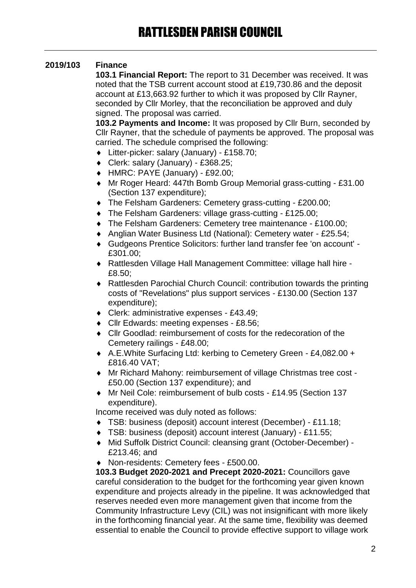## **2019/103 Finance**

**103.1 Financial Report:** The report to 31 December was received. It was noted that the TSB current account stood at £19,730.86 and the deposit account at £13,663.92 further to which it was proposed by Cllr Rayner, seconded by Cllr Morley, that the reconciliation be approved and duly signed. The proposal was carried.

**103.2 Payments and Income:** It was proposed by Cllr Burn, seconded by Cllr Rayner, that the schedule of payments be approved. The proposal was carried. The schedule comprised the following:

- Litter-picker: salary (January) £158.70;
- Clerk: salary (January) £368.25;
- HMRC: PAYE (January) £92.00;
- Mr Roger Heard: 447th Bomb Group Memorial grass-cutting £31.00 (Section 137 expenditure);
- The Felsham Gardeners: Cemetery grass-cutting £200.00;
- The Felsham Gardeners: village grass-cutting £125.00;
- The Felsham Gardeners: Cemetery tree maintenance £100.00;
- Anglian Water Business Ltd (National): Cemetery water £25.54;
- Gudgeons Prentice Solicitors: further land transfer fee 'on account' £301.00;
- Rattlesden Village Hall Management Committee: village hall hire £8.50;
- Rattlesden Parochial Church Council: contribution towards the printing costs of "Revelations" plus support services - £130.00 (Section 137 expenditure);
- Clerk: administrative expenses £43.49;
- Cllr Edwards: meeting expenses £8.56;
- Cllr Goodlad: reimbursement of costs for the redecoration of the Cemetery railings - £48.00;
- A.E.White Surfacing Ltd: kerbing to Cemetery Green £4,082.00 + £816.40 VAT;
- Mr Richard Mahony: reimbursement of village Christmas tree cost £50.00 (Section 137 expenditure); and
- Mr Neil Cole: reimbursement of bulb costs £14.95 (Section 137 expenditure).

Income received was duly noted as follows:

- TSB: business (deposit) account interest (December) £11.18;
- TSB: business (deposit) account interest (January) £11.55;
- Mid Suffolk District Council: cleansing grant (October-December) £213.46; and
- ◆ Non-residents: Cemetery fees £500.00.

**103.3 Budget 2020-2021 and Precept 2020-2021:** Councillors gave careful consideration to the budget for the forthcoming year given known expenditure and projects already in the pipeline. It was acknowledged that reserves needed even more management given that income from the Community Infrastructure Levy (CIL) was not insignificant with more likely in the forthcoming financial year. At the same time, flexibility was deemed essential to enable the Council to provide effective support to village work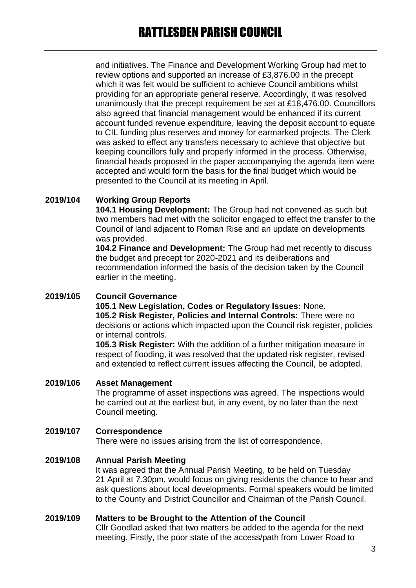and initiatives. The Finance and Development Working Group had met to review options and supported an increase of £3,876.00 in the precept which it was felt would be sufficient to achieve Council ambitions whilst providing for an appropriate general reserve. Accordingly, it was resolved unanimously that the precept requirement be set at £18,476.00. Councillors also agreed that financial management would be enhanced if its current account funded revenue expenditure, leaving the deposit account to equate to CIL funding plus reserves and money for earmarked projects. The Clerk was asked to effect any transfers necessary to achieve that objective but keeping councillors fully and properly informed in the process. Otherwise, financial heads proposed in the paper accompanying the agenda item were accepted and would form the basis for the final budget which would be presented to the Council at its meeting in April.

## **2019/104 Working Group Reports**

**104.1 Housing Development:** The Group had not convened as such but two members had met with the solicitor engaged to effect the transfer to the Council of land adjacent to Roman Rise and an update on developments was provided.

**104.2 Finance and Development:** The Group had met recently to discuss the budget and precept for 2020-2021 and its deliberations and recommendation informed the basis of the decision taken by the Council earlier in the meeting.

### **2019/105 Council Governance**

**105.1 New Legislation, Codes or Regulatory Issues:** None. **105.2 Risk Register, Policies and Internal Controls:** There were no decisions or actions which impacted upon the Council risk register, policies or internal controls.

**105.3 Risk Register:** With the addition of a further mitigation measure in respect of flooding, it was resolved that the updated risk register, revised and extended to reflect current issues affecting the Council, be adopted.

#### **2019/106 Asset Management**

The programme of asset inspections was agreed. The inspections would be carried out at the earliest but, in any event, by no later than the next Council meeting.

#### **2019/107 Correspondence**

There were no issues arising from the list of correspondence.

## **2019/108 Annual Parish Meeting**

It was agreed that the Annual Parish Meeting, to be held on Tuesday 21 April at 7.30pm, would focus on giving residents the chance to hear and ask questions about local developments. Formal speakers would be limited to the County and District Councillor and Chairman of the Parish Council.

#### **2019/109 Matters to be Brought to the Attention of the Council**

Cllr Goodlad asked that two matters be added to the agenda for the next meeting. Firstly, the poor state of the access/path from Lower Road to